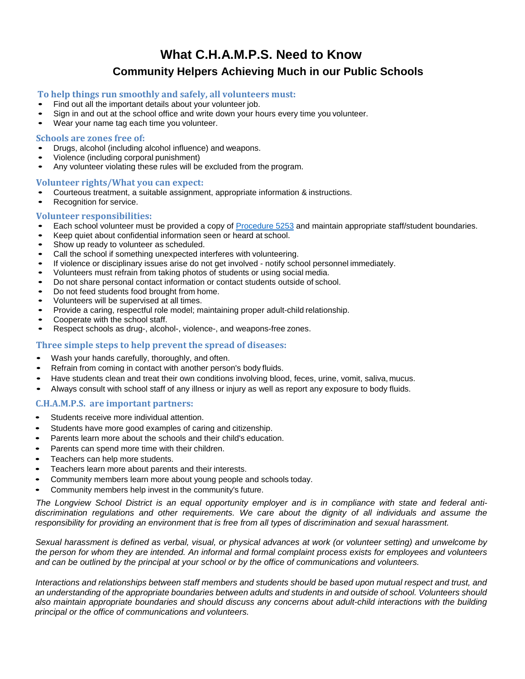# **What C.H.A.M.P.S. Need to Know Community Helpers Achieving Much in our Public Schools**

### **To help things run smoothly and safely, all volunteers must:**

- Find out all the important details about your volunteer job.
- Sign in and out at the school office and write down your hours every time you volunteer.<br>• Wear your name tag each time you volunteer.
- Wear your name tag each time you volunteer.

#### **Schools are zones free of:**

- Drugs, alcohol (including alcohol influence) and weapons.
- Violence (including corporal punishment)<br>• Any volunteer violating these rules will be
- Any volunteer violating these rules will be excluded from the program.

#### **Volunteer rights/What you can expect:**

- Courteous treatment, a suitable assignment, appropriate information & instructions.<br>• Recognition for service
- Recognition for service.

#### **Volunteer responsibilities:**

- Each school volunteer must be provided a copy of [Procedure 5253](https://longviewschoolscom.finalsite.com/about/policies-procedures) and maintain appropriate staff/student boundaries.<br>• Keep quiet about confidential information seep or beard at school.
- Keep quiet about confidential information seen or heard at school.<br>• Show up ready to volunteer as scheduled
- Show up ready to volunteer as scheduled.<br>• Call the school if something unexpected in
- Call the school if something unexpected interferes with volunteering.<br>• If violence or disciplinary issues arise do not get involved notify sch
- If violence or disciplinary issues arise do not get involved notify school personnel immediately.<br>• Volunteers must refrain from taking photos of students or using social media
- Volunteers must refrain from taking photos of students or using social media.<br>• De not share personal contact information or contact students outside of scho
- Do not share personal contact information or contact students outside of school.<br>• Do not feed students food brought from home
- Do not feed students food brought from home.<br>• Molunteers will be supervised at all times
- Volunteers will be supervised at all times.<br>• Provide a caring respectful role model: m
- Provide a caring, respectful role model; maintaining proper adult-child relationship.<br>• Cooperate with the school staff
- Cooperate with the school staff.<br>• Respect schools as drug-alcoh
- Respect schools as drug-, alcohol-, violence-, and weapons-free zones.

## **Three simple steps to help prevent the spread of diseases:**

- Wash your hands carefully, thoroughly, and often.
- Refrain from coming in contact with another person's body fluids.
- Have students clean and treat their own conditions involving blood, feces, urine, vomit, saliva, mucus.
- Always consult with school staff of any illness or injury as well as report any exposure to body fluids.

#### **C.H.A.M.P.S. are important partners:**

- Students receive more individual attention.
- Students have more good examples of caring and citizenship.
- Parents learn more about the schools and their child's education.
- Parents can spend more time with their children.
- Teachers can help more students.
- Teachers learn more about parents and their interests.
- Community members learn more about young people and schools today.
- Community members help invest in the community's future.

*The Longview School District is an equal opportunity employer and is in compliance with state and federal antidiscrimination regulations and other requirements. We care about the dignity of all individuals and assume the responsibility for providing an environment that is free from all types of discrimination and sexual harassment.*

*Sexual harassment is defined as verbal, visual, or physical advances at work (or volunteer setting) and unwelcome by the person for whom they are intended. An informal and formal complaint process exists for employees and volunteers and can be outlined by the principal at your school or by the office of communications and volunteers.*

*Interactions and relationships between staff members and students should be based upon mutual respect and trust, and an understanding of the appropriate boundaries between adults and students in and outside of school. Volunteers should also maintain appropriate boundaries and should discuss any concerns about adult-child interactions with the building principal or the office of communications and volunteers.*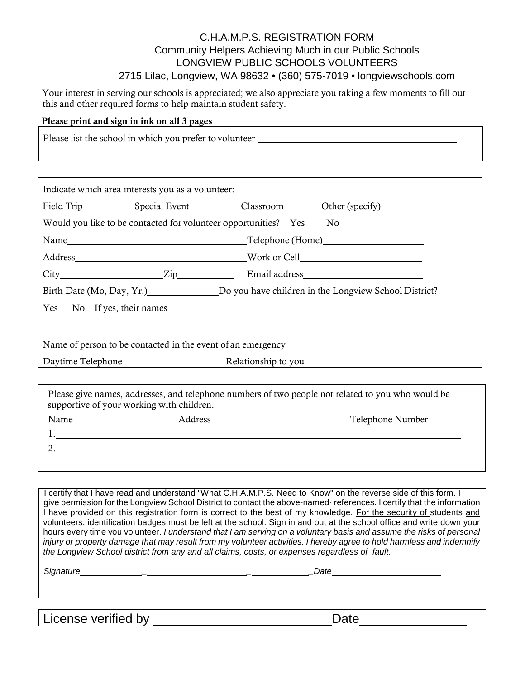# C.H.A.M.P.S. REGISTRATION FORM Community Helpers Achieving Much in our Public Schools LONGVIEW PUBLIC SCHOOLS VOLUNTEERS 2715 Lilac, Longview, WA 98632 • (360) 575-7019 • longviewschools.com

Your interest in serving our schools is appreciated; we also appreciate you taking a few moments to fill out this and other required forms to help maintain student safety.

# Please print and sign in ink on all 3 pages

Please list the school in which you prefer to volunteer

| Indicate which area interests you as a volunteer: |                                                                    |                                                                                 |
|---------------------------------------------------|--------------------------------------------------------------------|---------------------------------------------------------------------------------|
|                                                   |                                                                    |                                                                                 |
|                                                   | Would you like to be contacted for volunteer opportunities? Yes No |                                                                                 |
|                                                   |                                                                    |                                                                                 |
|                                                   |                                                                    | Address North Work or Cell                                                      |
| $City$ $Zip$                                      |                                                                    |                                                                                 |
|                                                   |                                                                    | Birth Date (Mo, Day, Yr.) Do you have children in the Longview School District? |
| Yes No If yes, their names                        |                                                                    |                                                                                 |

| Name of person to be contacted in the event of an emergency |                     |
|-------------------------------------------------------------|---------------------|
| Daytime Telephone                                           | Relationship to you |

|      | supportive of your working with children. | Please give names, addresses, and telephone numbers of two people not related to you who would be |
|------|-------------------------------------------|---------------------------------------------------------------------------------------------------|
| Name | Address                                   | Telephone Number                                                                                  |
|      |                                           |                                                                                                   |
|      |                                           |                                                                                                   |
|      |                                           |                                                                                                   |

I certify that I have read and understand "What C.H.A.M.P.S. Need to Know" on the reverse side of this form. I give permission for the Longview School District to contact the above-named· references. I certify that the information I have provided on this registration form is correct to the best of my knowledge. For the security of students and volunteers, identification badges must be left at the school. Sign in and out at the school office and write down your hours every time you volunteer. *I understand that I am serving on a voluntary basis and assume the risks of personal injury or property damage that may result from my volunteer activities. I hereby agree to hold harmless and indemnify the Longview School district from any and all claims, costs, or expenses regardless of fault.*

*Signature \_ \_ \_Date*

License verified by Date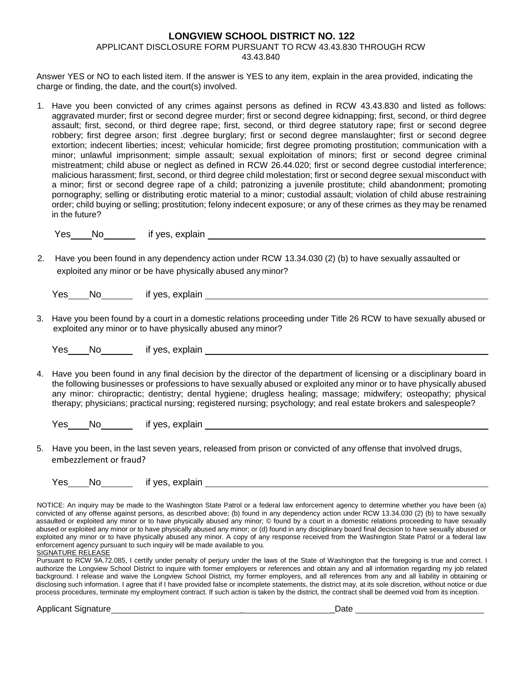## **LONGVIEW SCHOOL DISTRICT NO. 122** APPLICANT DISCLOSURE FORM PURSUANT TO RCW 43.43.830 THROUGH RCW 43.43.840

Answer YES or NO to each listed item. If the answer is YES to any item, explain in the area provided, indicating the charge or finding, the date, and the court(s) involved.

1. Have you been convicted of any crimes against persons as defined in RCW 43.43.830 and listed as follows: aggravated murder; first or second degree murder; first or second degree kidnapping; first, second, or third degree assault; first, second, or third degree rape; first, second, or third degree statutory rape; first or second degree robbery; first degree arson; first .degree burglary; first or second degree manslaughter; first or second degree extortion; indecent liberties; incest; vehicular homicide; first degree promoting prostitution; communication with a minor; unlawful imprisonment; simple assault; sexual exploitation of minors; first or second degree criminal mistreatment; child abuse or neglect as defined in RCW 26.44.020; first or second degree custodial interference; malicious harassment; first, second, or third degree child molestation; first or second degree sexual misconduct with a minor; first or second degree rape of a child; patronizing a juvenile prostitute; child abandonment; promoting pornography; selling or distributing erotic material to a minor; custodial assault; violation of child abuse restraining order; child buying or selling; prostitution; felony indecent exposure; or any of these crimes as they may be renamed in the future?

Yes No if yes, explain

2. Have you been found in any dependency action under RCW 13.34.030 (2) (b) to have sexually assaulted or exploited any minor or be have physically abused any minor?

| Yes | No | if yes, explain |
|-----|----|-----------------|
|-----|----|-----------------|

3. Have you been found by a court in a domestic relations proceeding under Title 26 RCW to have sexually abused or exploited any minor or to have physically abused any minor?

| Yes | No | if yes, explain |
|-----|----|-----------------|
|-----|----|-----------------|

4. Have you been found in any final decision by the director of the department of licensing or a disciplinary board in the following businesses or professions to have sexually abused or exploited any minor or to have physically abused any minor: chiropractic; dentistry; dental hygiene; drugless healing; massage; midwifery; osteopathy; physical therapy; physicians; practical nursing; registered nursing; psychology; and real estate brokers and salespeople?

Yes No if yes, explain

5. Have you been, in the last seven years, released from prison or convicted of any offense that involved drugs, embezzlement or fraud?

| Yes | No | if yes, explain |
|-----|----|-----------------|
|     |    |                 |

NOTICE: An inquiry may be made to the Washington State Patrol or a federal law enforcement agency to determine whether you have been (a) convicted of any offense against persons, as described above; (b) found in any dependency action under RCW 13.34.030 (2) (b) to have sexually assaulted or exploited any minor or to have physically abused any minor; © found by a court in a domestic relations proceeding to have sexually abused or exploited any minor or to have physically abused any minor; or (d) found in any disciplinary board final decision to have sexually abused or exploited any minor or to have physically abused any minor. A copy of any response received from the Washington State Patrol or a federal law enforcement agency pursuant to such inquiry will be made available to you. SIGNATURE RELEASE

Pursuant to RCW 9A.72.085, I certify under penalty of perjury under the laws of the State of Washington that the foregoing is true and correct. I authorize the Longview School District to inquire with former employers or references and obtain any and all information regarding my job related background. I release and waive the Longview School District, my former employers, and all references from any and all liability in obtaining or disclosing such information. I agree that if I have provided false or incomplete statements, the district may, at its sole discretion, without notice or due process procedures, terminate my employment contract. If such action is taken by the district, the contract shall be deemed void from its inception.

Applicant Signature \_ \_Date